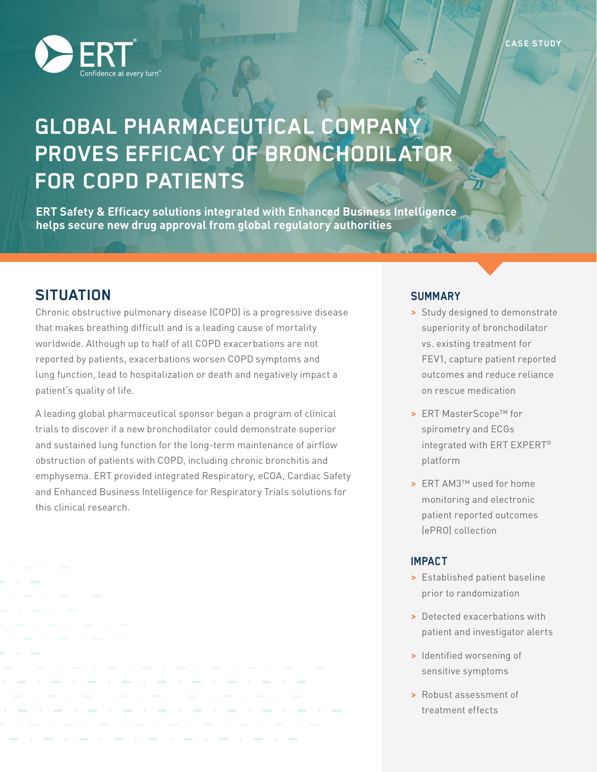

# **GLOBAL PHARMACEUTICAL COMPANY PROVES EFFICACY OF BRONCHODILATOR FOR COPD PATIENTS**

**ERT Safety & Efficacy solutions integrated with Enhanced Business Intelligence helps secure new drug approval from global regulatory authorities**

## **SITUATION**

Chronic obstructive pulmonary disease (COPD) is a progressive disease that makes breathing difficult and is a leading cause of mortality worldwide. Although up to half of all COPD exacerbations are not reported by patients, exacerbations worsen COPD symptoms and lung function, lead to hospitalization or death and negatively impact a patient's quality of life.

A leading global pharmaceutical sponsor began a program of clinical trials to discover if a new bronchodilator could demonstrate superior and sustained lung function for the long-term maintenance of airflow obstruction of patients with COPD, including chronic bronchitis and emphysema. ERT provided integrated Respiratory, eCOA, Cardiac Safety and Enhanced Business Intelligence for Respiratory Trials solutions for this clinical research.

#### **SUMMARY**

- **>** Study designed to demonstrate superiority of bronchodilator vs. existing treatment for FEV1, capture patient reported outcomes and reduce reliance on rescue medication
- **>** ERT MasterScope™ for spirometry and ECGs integrated with ERT EXPERT® platform
- **>** ERT AM3™ used for home monitoring and electronic patient reported outcomes (ePRO) collection

#### **IMPACT**

- **>** Established patient baseline prior to randomization
- **>** Detected exacerbations with patient and investigator alerts
- **>** Identified worsening of sensitive symptoms
- **>** Robust assessment of treatment effects